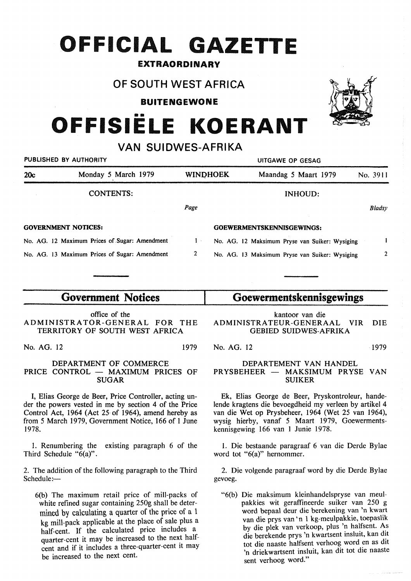## **OFFICIAL GAZETTE**

## EXTRAORDINARY

## **OF SOUTH WEST AFRICA**

**BUITENGEWONE** 

# **OFFISIELE KOERANT**

**VAN SUIDWES-AFRIKA** 

|                     | UITGAWE OP GESAG                                                                                                                                       |  |                      |                                                                                                                                      |  |  |  |  |
|---------------------|--------------------------------------------------------------------------------------------------------------------------------------------------------|--|----------------------|--------------------------------------------------------------------------------------------------------------------------------------|--|--|--|--|
| Monday 5 March 1979 |                                                                                                                                                        |  | Maandag 5 Maart 1979 | No. 3911                                                                                                                             |  |  |  |  |
| <b>CONTENTS:</b>    |                                                                                                                                                        |  | <b>INHOUD:</b>       |                                                                                                                                      |  |  |  |  |
|                     | Page                                                                                                                                                   |  |                      | <b>Bladsy</b>                                                                                                                        |  |  |  |  |
|                     |                                                                                                                                                        |  |                      |                                                                                                                                      |  |  |  |  |
|                     | $1 -$                                                                                                                                                  |  |                      |                                                                                                                                      |  |  |  |  |
|                     | 2                                                                                                                                                      |  |                      | $\mathbf{2}$                                                                                                                         |  |  |  |  |
|                     | PUBLISHED BY AUTHORITY<br><b>GOVERNMENT NOTICES:</b><br>No. AG. 12 Maximum Prices of Sugar: Amendment<br>No. AG. 13 Maximum Prices of Sugar: Amendment |  | <b>WINDHOEK</b>      | <b>GOEWERMENTSKENNISGEWINGS:</b><br>No. AG. 12 Maksimum Pryse van Suiker: Wysiging<br>No. AG. 13 Maksimum Pryse van Suiker: Wysiging |  |  |  |  |

## **Government Notices**

office of the ADMINISTRATOR-GENERAL FOR THE TERRITORY OF SOUTH WEST AFRICA

No. AG. 12 1979

#### DEPARTMENT OF COMMERCE PRICE CONTROL - MAXIMUM PRICES OF SUGAR

I, Elias George de Beer, Price Controller, acting under the powers vested in me by section 4 of the Price Control Act, 1964 (Act 25· of 1964), amend hereby as from 5 March 1979, Government Notice, 166 of 1 June 1978.

1. Renumbering the existing paragraph 6 of the Third Schedule " $6(a)$ ".

2. The addition of the following paragraph to the Third  $S$ chedule $:=$ 

6(b) The maximum retail price of mill-packs of white refined sugar containing 250g shall be determined by calculating a quarter of the price of a 1 kg mill-pack applicable at the place of sale plus a half-cent. If the calculated price includes a quarter-cent it may be increased to the next halfcent and if it includes a three-quarter-cent it may be increased to the next cent.

## **Goewermentskennisgewings**

kantoor van die ADMINISTRATEUR-GENERAAL VIR DIE GEBIED SUIDWES-AFRIKA

No. AG. 12 1979

### DEPARTEMENT VAN HANDEL PRYSBEHEER - MAKSIMUM PRYSE VAN SUIKER

Ek, Elias George de Beer, Pryskontroleur, handelende kragtens die bevoegdheid my verleen by artikel 4 van die Wet op Prysbeheer, 1964 (Wet 25 van 1964), wysig hierby, vanaf 5 Maart 1979, Goewermentskennisgewing 166 van 1 Junie 1978.

1. Die bestaande paragraaf 6 van die Derde Bylae word tot "6(a)" hernommer.

2. Die volgende paragraaf word by die Derde Bylae gevoeg.

"6(b) Die maksimum kleinhandelspryse van meulpakkies wit geraffineerde suiker van 250 g word bepaal deur die berekening van 'n kwart van die prys van 'n 1 kg-meulpakkie, toepaslik by die plek van verkoop, plus 'n halfsent. As die berekende prys 'n kwartsent insluit, kan dit tot die naaste halfsent verhoog word en as dit 'n driekwartsent insluit, kan dit tot die naaste sent verhoog word."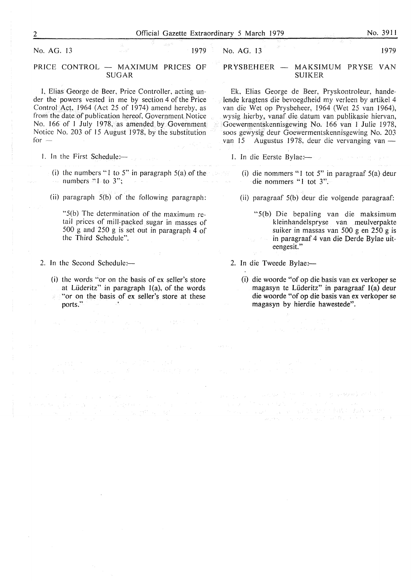No. AG. 13 1979

#### PRICE CONTROL - MAXIMUM PRICES OF SUGAR

I, Elias George de Beer, Price Controller, acting under the powers vested in me by section 4 of the Price Control Act, 1964 (Act 25 of 1974) amend hereby, as from the date of publication hereof, Government Notice No. 166 of 1 July 1978, as amended by Government Notice No. 203 of 15 August 1978, by the substitution  $for -$ 

- 1. In the First Schedule: $-$ 
	- (i) the numbers "1 to 5" in paragraph  $5(a)$  of the numbers  $"l$  to  $3"$ :
	- (ii) paragraph 5(b) of the following paragraph:
		- "S(b) The determination of the maximum retail prices of mill-packed sugar in masses of 500 g and 250 g is set out in paragraph 4 of the Third Schedule".
- 2. In the Second Schedule: $-$ 
	- (i) the words "or on the basis of ex seller's store at Lüderitz" in paragraph  $I(a)$ , of the words "or on the basis of ex seller's store at these ports."

**Control of Disks Control Markets** 

 $\mathcal{O}(\mathcal{O}(\log n)^2)$  . The property of the particles  $\mathcal{O}(\log n)^2$ 

 $\mathbb{E} \left[ \left\{ \mathcal{L} \left( \mathcal{L}_{\mathcal{A}} \left( \mathcal{L}_{\mathcal{A}} \right) \right) \right\} \left( \mathcal{L}_{\mathcal{A}} \left( \mathcal{L}_{\mathcal{A}} \right) \right) \right\} = \left\{ \mathcal{L}_{\mathcal{A}} \left( \mathcal{L}_{\mathcal{A}} \left( \mathcal{L}_{\mathcal{A}} \right) \right) \right\} \left( \mathcal{L}_{\mathcal{A}} \left( \mathcal{L}_{\mathcal{A}} \right) \right) \right\}$ 

(大致不良)

general (1992)<br>1994: Albert Bill, amerikansk fotograf<br>1994: Albert Bill, amerikansk fotograf

No. AG. 13

1979

#### PRYSBEHEER — MAKSIMUM PRYSE VAN SUIKER

Ek. Elias George de Beer, Pryskontroleur, handelende kragtens die bevoegdheid my verleen by artikel 4 van die Wet op Prysbeheer, 1964 (Wet 25 van 1964), wysig hierby, vanaf die datum van publikasie hiervan, Goewermentskennisgewing No. 166 van 1 Julie 1978, soos gewysig deur Goewermentskennisgewing No. 203 van 15 Augustus 1978, deur die vervanging van -

- l. In die Eerste Bylae:-
	- (i) die nommers "1 tot 5" in paragraaf 5(a) deur die nommers "l tot 3".
	- (ii) paragraaf 5(b) deur die volgende paragraaf:
		- "5(b) Die bepaling van die maksimum kleinhandelspryse van meulverpakte suiker in massas van 500 g en 250 g is in paragraaf 4 van die Derde Bylae uiteengesit."
- 2. In die Tweede Bylae:-
	- (i) die woorde "of op die basis van ex verkoper se magasyn te Liideritz" in paragraaf l(a) deur die woorde "of op die basis van ex verkoper se magasyn by hierdie hawestede".

and the problem where the problem is the problem of the control of the state of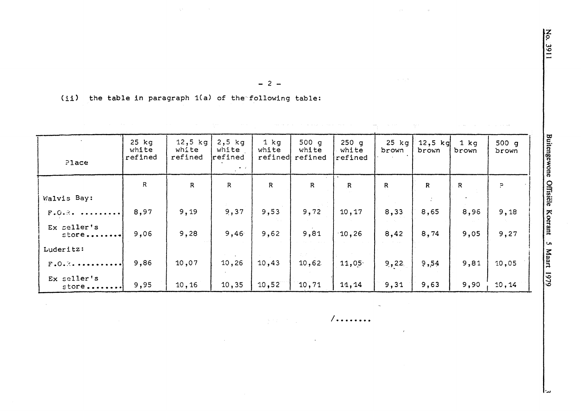$\mathcal{A}_1$ 

 $-2-$ 

(ii) the table in paragraph 1(a) of the following table:

 $\sim 10^{-1}$ 

 $\sim 10^{-1}$ 

| P1ace                  | $25$ $kg$<br>white<br>refined | $12,5$ kg<br>white<br>refined | $2,5$ kg<br>white<br>refined | $1$ $kg$<br>white<br>refined | 500q<br>white<br>refined | $250$ g<br>white<br>refined | $25$ $kg$<br>brown | $12,5$ kg<br>brown | $1$ kg<br>brown | 500g<br>brown |
|------------------------|-------------------------------|-------------------------------|------------------------------|------------------------------|--------------------------|-----------------------------|--------------------|--------------------|-----------------|---------------|
|                        | $\mathsf{R}$                  | $\mathsf{R}$                  | $\mathbb{R}$                 | $\mathsf{R}$                 | $\mathbb{R}$             | $\mathsf{R}$                | $\mathbf R$        | $\mathbb{R}$       | $\mathsf{R}$    | Ρ.            |
| Walvis Bay:            |                               |                               |                              |                              |                          |                             |                    |                    |                 |               |
| $F. O. R.$             | 8,97                          | 9,19                          | 9,37                         | 9,53                         | 9,72                     | 10,17                       | 8,33               | 8,65               | 8,96            | 9,18          |
| Ex seller's<br>$store$ | 9,06                          | 9,28                          | 9,46                         | 9,62                         | 9,81                     | 10,26                       | 8,42               | 8,74               | 9,05            | 9,27          |
| Luderitz:              |                               |                               |                              |                              |                          |                             |                    |                    |                 |               |
| $F.0.8.$               | 9,86                          | 10,07                         | 10, 26                       | 10, 43                       | 10,62                    | 11,05                       | 9,22               | 9,54               | 9,81            | 10,05         |
| Ex seller's<br>$store$ | 9,95                          | 10, 16                        | 10, 35                       | 10,52                        | 10, 71                   | 11,14                       | 9,31               | 9,63               | 9,90            | 10, 14        |

 $/$ ........

 $\lambda$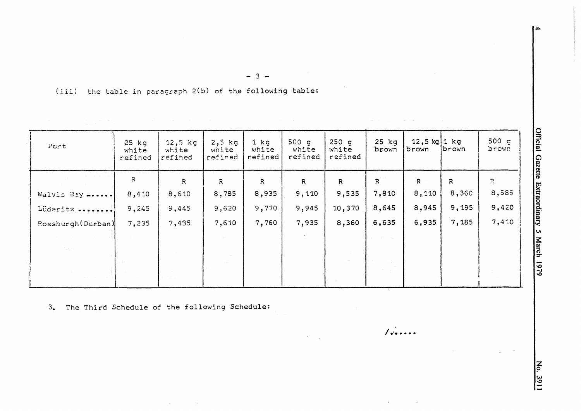(iii) the table in paragraph 2(b) of the following table:

| Port                                        | $25$ $kg$<br>white<br>refined | $12,5$ kg<br>white<br>refined | $2,5$ kg<br>white<br>refined | 1 kg<br>white<br>refined | 500 $q$<br>white<br>refined | 250q<br>white<br>refined | $25$ kg<br>brown | 12,5 kg $\pm$ kg<br>brown | brown | $500 \text{ g}$<br>brown |
|---------------------------------------------|-------------------------------|-------------------------------|------------------------------|--------------------------|-----------------------------|--------------------------|------------------|---------------------------|-------|--------------------------|
|                                             | R                             | R.                            | $\mathbb{R}$                 | $\mathbb{R}$             | $\mathsf{R}$                | $\mathbb{R}$             | R                | R                         | R     | $\ddot{P}$               |
| Walvis Bay                                  | 8,410                         | 8,610                         | 8,785                        | 8,935                    | 9,110                       | 9,535                    | 7,810            | 8,110                     | 8,360 | 8,585                    |
| Lüderitz                                    | 9,245                         | 9,445                         | 9,620                        | 9,770                    | 9,945                       | 10,370                   | 8,645            | 8,945                     | 9,195 | 9,420                    |
| Rossburgh (Durban)                          | 7,235                         | 7,435                         | 7,610                        | 7,760                    | 7,935                       | 8,360                    | 6,635            | 6,935                     | 7,185 | 7,4:0                    |
|                                             |                               |                               |                              |                          |                             |                          |                  |                           |       |                          |
| $\gamma \ll \gamma^*$ , $\gamma \ll \gamma$ |                               |                               |                              |                          |                             |                          |                  |                           |       |                          |
|                                             |                               |                               |                              |                          |                             |                          |                  |                           |       |                          |

 $\mathcal{L}^{\text{max}}_{\text{max}}$  and  $\mathcal{L}^{\text{max}}_{\text{max}}$  and  $\mathcal{L}^{\text{max}}_{\text{max}}$ 

*I.-~ ••••* 

 $- 3 -$ 

3. The Third Schedule of the following Schedule:

 $\tau_{\rm e}$ 

No. 3911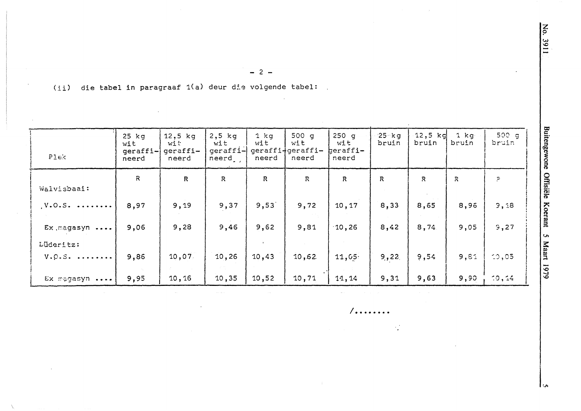(ii) die tabel in paragraaf 1(a) deur die volgende tabel:  $\mathbb{R}^2$ 

| PIex                   | $25$ $kg$<br>wit<br>geraffi-<br>neerd | $12,5$ kg<br>with<br>geraffi-<br>neerd | $2,5$ kg<br>wit<br>geraffi-<br>neerd | $1$ $kg$<br>wit<br>neerd | 500 $q$<br>wit<br>geraffi+geraffi-<br>neerd | $250$ q<br>wit<br>heraffi-<br>neerd | $25 - kg$<br>bruin | 12,5 $kg$<br>bruin | $1$ kg<br>bruin | 500 g<br>bruin |
|------------------------|---------------------------------------|----------------------------------------|--------------------------------------|--------------------------|---------------------------------------------|-------------------------------------|--------------------|--------------------|-----------------|----------------|
| Walvisbaai:            | $\mathcal{R}$                         | $\overline{R}$                         | $\mathsf{R}$                         | $\mathbb{R}$             | $\mathbb{R}$                                | R                                   | $\mathbb{R}$       | $\mathbb{R}$       | $\mathbb{R}$    | P.             |
| $V.0.5.$               | 8,97                                  | 9,19                                   | 9,37                                 | 9,53                     | 9,72                                        | 10,17                               | 8,33               | 8,65               | 8,96            | 3,18           |
| Ex magasyn             | 9,06                                  | 9,28                                   | 9,46                                 | 9,62                     | 9,81                                        | 10,26                               | 8,42               | 8,74               | 9,05            | 5,27           |
| Lüderitz:<br>$V. Q.S.$ | 9,86                                  | 10,07                                  | 10, 26                               | 10,43                    | 10,62                                       | 11,05                               | 9,22               | 9,54               | 9,61            | 10,05          |
| Ex magasyn             | 9,95                                  | 10, 16                                 | 10,35                                | 10,52                    | 10,71                                       | 11, 14                              | 9,31               | 9,63               | 9,90            | 10,14          |

 $-2-$ 

 $/$ ........

 $\mathcal{L}^{\mathcal{A}}_{\mathcal{A}}$ 

**LA**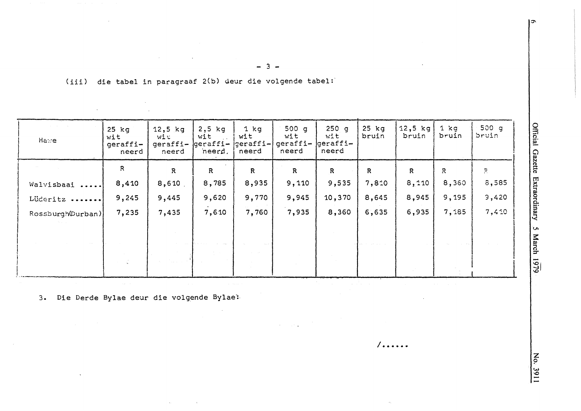(iii) die tabel in paragraaf 2(b) deur die volgende tabel:

| Hawe              | $25$ $kg$<br>wit<br>geraffi-<br>neerd | $12,5$ kg<br>wi u<br>geraffi- geraffi-<br>neerd | $2,5$ kg<br>wit<br>$\sim 100$ km s $^{-1}$<br>neerd, | $1$ $kg$<br>wit<br>$ geraffi- $<br>neerd | 500 g<br>wit<br>geraffi-<br>neerd | $250$ g<br>wit<br>geraffi-<br>neerd | $25$ kg<br>bruin | $12,5$ kg<br>bruin | $1$ kg<br>bruin | 500q<br>bruin |
|-------------------|---------------------------------------|-------------------------------------------------|------------------------------------------------------|------------------------------------------|-----------------------------------|-------------------------------------|------------------|--------------------|-----------------|---------------|
|                   | R                                     | $\mathbf{R}$                                    | $\mathsf{R}$                                         | $\mathbb{R}$                             | $\mathbb{R}$                      | $\mathbb{R}$                        | $\mathbb{R}$     | $\mathbf R$        | R               | $\Xi$         |
| Walvisbaai        | 8,410                                 | 8,610                                           | 8,785                                                | 8,935                                    | 9,110                             | 9,535                               | 7,810            | 8,110              | 8,360           | 3,585         |
| Lüderitz          | 9,245                                 | 9,445                                           | 9,620                                                | 9,770                                    | 9,945                             | 10,370                              | 8,645            | 8,945              | 9,195           | 3,420         |
| Rossburgh(Durban) | 7,235                                 | 7,435                                           | 7,610                                                | 7,760                                    | 7,935                             | 8,360                               | 6,635            | 6,935              | 7,185           | 7,410         |
|                   |                                       |                                                 |                                                      |                                          |                                   |                                     |                  |                    |                 |               |
|                   |                                       |                                                 |                                                      |                                          |                                   |                                     |                  |                    |                 |               |
|                   | 아버지 않아                                |                                                 |                                                      |                                          |                                   |                                     |                  |                    |                 |               |
|                   |                                       |                                                 |                                                      |                                          |                                   |                                     |                  |                    |                 |               |

 $\sim$ 

 $\sqrt{...}$ ....

3. Die Derde Bylae deur die volgende Bylae:

 $\mathcal{L}_{\mathbf{A}}$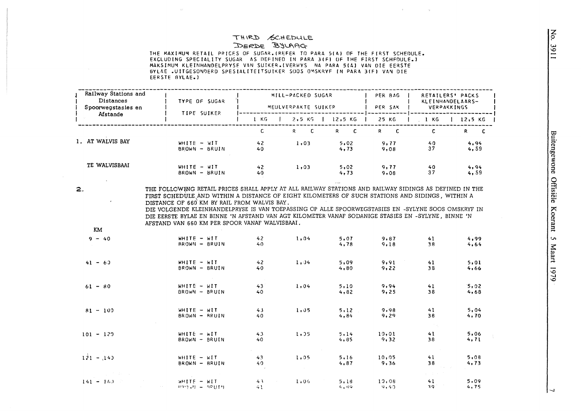### THIRD SCHEDULE DERDE BYLAAG

 $\sim 10^7$ 

THE MAXIMUM RETAIL PRICES OF SUGAR, (REFER TO PARA 5(A) OF THE FIRST SCHEDULE. EXCLUDING SPECIALITY SUGAR AS DEFINED IN PARA 3(F) OF THE FIRST SCHFOULE.) MAKSIMUM KLEINHANDELPRYSE VAN SUIKER. (VERWYS NA PARA 5(A) VAN DIE EERSTE BYLAE .UITGESONDERD SPESIALITEITSUIKER SOOS OMSKRYF IN PARA 3(F) VAN DIE EERSTE BYLAE.)

and the control of

|    | Railway Stations and<br><b>Distances</b><br>Spoorwegstasies en | TYPE OF SUGAR                                                                                                                                                                                                                                                                                                                                                                                                                                                       |                        | MILL-PACKED SUGAR<br>MEULVERPAKTE SUIKER |                    | PER BAG<br>PER SAK | RETAILERS' PACKS<br>KLEINHANDELAARS-<br>VERPAKKINGS |               |
|----|----------------------------------------------------------------|---------------------------------------------------------------------------------------------------------------------------------------------------------------------------------------------------------------------------------------------------------------------------------------------------------------------------------------------------------------------------------------------------------------------------------------------------------------------|------------------------|------------------------------------------|--------------------|--------------------|-----------------------------------------------------|---------------|
|    | Afstande                                                       | TIPE SUIKER                                                                                                                                                                                                                                                                                                                                                                                                                                                         | 1 KG                   |                                          | $2,5 K5$   12,5 KG | 25 KG              | $\frac{1}{2}$ KG                                    | $1 \t12.5 KG$ |
|    |                                                                |                                                                                                                                                                                                                                                                                                                                                                                                                                                                     | $\mathbf{C}$           | $R$ $C$                                  | $R$ $C$            | $R$ $C$            | $\mathbf{C}$                                        | R C           |
|    | 1. AT WALVIS BAY                                               | $WHITE - WIT$<br>BROWN - BRUIN                                                                                                                                                                                                                                                                                                                                                                                                                                      | $42^{1}$<br>40         | 1,03                                     | 5,02<br>4,73       | 9,77<br>9,08       | 40<br>37                                            | 4,94<br>4,59  |
|    | TE WALVISBAAI                                                  | WHITE - WIT<br>BROWN - BRUIN                                                                                                                                                                                                                                                                                                                                                                                                                                        | $42^{1}$<br>40.        | 1,03                                     | 5,02<br>4, 73      | 9.77<br>9,08       | 40<br>37                                            | 4,94<br>4,59  |
| 2. |                                                                | THE FOLLOWING RETAIL PRICES SHALL APPLY AT ALL RAILWAY STATIONS AND RAILWAY SIDINGS AS DEFINED IN THE<br>FIRST SCHEDULE AND WITHIN A DISTANCE OF EIGHT KILOMETERS OF SUCH STATIONS AND SIDINGS, WITHIN A<br>DISTANCE OF 660 KM BY RAIL FROM WALVIS BAY.<br>DIE VOLGENDE KLEINHANDELPRYSE IS VAN TOEPASSING OP ALLE SPOORWEGSTASIES EN -SYLYNE SOOS OMSKRYF IN<br>DIE EERSTE BYLAE EN BINNE 'N AFSTAND VAN AGT KILOMETER VANAF SODANIGE STASIES EN -SYLYNE, BINNE 'N |                        |                                          |                    |                    |                                                     |               |
|    | KM                                                             | AFSTAND VAN 660 KM PER SPOOR VANAF WALVISBAAI.                                                                                                                                                                                                                                                                                                                                                                                                                      |                        |                                          |                    |                    |                                                     |               |
|    | $9 - 40$                                                       | WHITE $-$ WIT<br>BROWN - BRUIN                                                                                                                                                                                                                                                                                                                                                                                                                                      | 42 <sup>°</sup><br>40. | 1.04                                     | 5.07<br>4,78       | 9,87<br>9,18       | 41<br>38                                            | 4,99<br>4,64  |
|    | $41 - 63$                                                      | $WHITE - MIT$<br>BROWN - BRUIN                                                                                                                                                                                                                                                                                                                                                                                                                                      | $42^{6}$<br>40         | 1,04                                     | 5,09<br>4,80       | 9,91<br>9,22       | 41<br>38                                            | 5,01<br>4,66  |
|    | $61 - 80$                                                      | WHITE - WIT<br>BROWN - BRUIN                                                                                                                                                                                                                                                                                                                                                                                                                                        | 43 <sup>°</sup><br>40. | 1.04                                     | 5,10<br>4,82       | 9,94<br>9,25       | 41<br>38                                            | 5.02<br>4,68  |
|    | $81 - 100$                                                     | WHITE - WIT<br>BROWN - BRUIN                                                                                                                                                                                                                                                                                                                                                                                                                                        | 43<br>40               | 1,05                                     | 5, 12<br>4,84      | 9,98<br>9,29       | 41<br>38                                            | 5,04<br>4,70  |
|    | $101 - 129$                                                    | WHITE - WIT<br>BROWN - BRUIN                                                                                                                                                                                                                                                                                                                                                                                                                                        | 43<br>40               | 1, 35                                    | 5.14<br>4,85       | 10,01<br>9,32      | $\sim 20\,$ km $^{-2}$<br>41<br>38                  | 5,06<br>4,71  |
|    | $121 - 140$                                                    | WHITE - WIT<br>BROWN - BRUIN                                                                                                                                                                                                                                                                                                                                                                                                                                        | 43<br>49.              | 1,05                                     | 5,16<br>4, 87      | 10,05<br>9,36      | 41<br>38                                            | 5,08<br>4,73  |
|    | $141 - 163$                                                    | WHITE - WIT<br>$BQQ$ $RQ = RQQTQ$                                                                                                                                                                                                                                                                                                                                                                                                                                   | 43<br>$\sim 1$         | 1.06                                     | 5,18<br>4.49       | 10,08<br>9,40      | 41<br>39.                                           | 5,09<br>4,75  |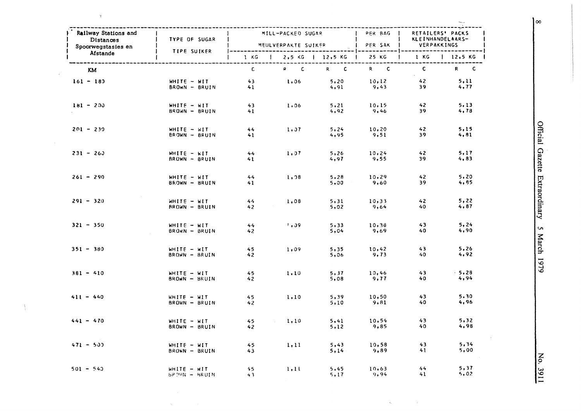| Railway Stations and<br>Ł<br><b>Distances</b><br>$\sim 10^{10}$ km s $^{-1}$ | TYPE OF SUGAR                         |                | MEULVERPAKTE SUIKER |                                 | MILL-PACKED SUGAR   PER BAG  <br>PER SAK         | RETAILERS' PACKS<br>KLEINHANDELAARS-<br>VERPAKKINGS |                 |  |
|------------------------------------------------------------------------------|---------------------------------------|----------------|---------------------|---------------------------------|--------------------------------------------------|-----------------------------------------------------|-----------------|--|
| Spoorwegstasies en<br>$\mathbf{I}$<br>Afstande<br>Ł                          | TIPE SUIKER                           |                |                     |                                 | 1 KG   2,5 KG   12,5 KG   25 KG   1 KG   12,5 KG | ---   ---------------------                         |                 |  |
| KM                                                                           |                                       | $\mathbf{C}$   | $R$ $C$             | $R$ $C$                         | $R$ $C$                                          | $\mathbf{C}$                                        | R C             |  |
| $161 - 183$                                                                  | WHITE - WIT<br>BROWN - BRUIN          | $43 -$<br>41   | 1,06                | 5,20<br>4,91                    | 10, 12<br>9,43                                   | 42<br>39                                            | 5.11<br>4,77    |  |
| $181 - 200$                                                                  | WHITE - WIT<br>BROWN - BRUIN          | 43<br>41       | 1,06                | 5, 21<br>4,92                   | 10.15<br>9,46                                    | 42<br>39                                            | 5.13<br>4, 78   |  |
| $201 - 239$                                                                  | WHITE - WIT<br>BROWN - BRUIN          | 44<br>41       | 1.37                | <b>Contract</b><br>5.24<br>4,95 | 10.20<br>9,51                                    | 42<br>39                                            | 5.15<br>4,81    |  |
| $231 - 263$                                                                  | $WHITE - KIT$<br>BROWN - BRUIN        | 44<br>41       | 1.97                | 5,26<br>4,97                    | 10, 24<br>9,55                                   | 42<br>39                                            | 5.17<br>4,83    |  |
| $261 - 290$                                                                  | WHITE - WIT<br>BROWN - BRUIN          | $44 -$<br>41   | 1, 28               | 5,28<br>5,00                    | 10, 29<br>9,60                                   | 42<br>39                                            | 5, 20<br>4,85   |  |
| $291 - 320$                                                                  | $WHITE - WIT$<br><b>BROWN - BRUIN</b> | 44<br>42       | 1,08                | 5,31<br>5,02                    | 10,33<br>9,64                                    | 42<br>40                                            | 5, 22<br>4,87   |  |
| $321 - 350$                                                                  | WHITE - WIT<br>BRUWN - BRUIN          | $44^{2}$<br>42 | 1,09                | 5,33<br>5,04                    | 10,38<br>9,69                                    | 43<br>40                                            | 5,24<br>4,90    |  |
| $351 - 380$                                                                  | $WHITE - WIT$<br>BROWN - BRUIN        | 45<br>42       | 1.09                | 5,35<br>5,06                    | 10,42<br>9,73                                    | 43<br>40                                            | 5,26<br>4,92    |  |
| $381 - 410$                                                                  | WHITE - WIT<br>BROWN - BRUIN          | 45<br>42       | 1.10                | 5, 37<br>5,08                   | 10,46<br>9.77                                    | 43<br>40                                            | $-5,28$<br>4,94 |  |
| $411 - 440$                                                                  | $WHITE - WIT$<br>BROWN - BRUIN        | 45<br>$42^{2}$ | 1.10                | 5,39<br>5,10                    | 10,50<br>9,81                                    | 43<br>40                                            | 5.30<br>4,96    |  |
| $441 - 470$                                                                  | WHITE - WIT<br>BROWN - BRUIN          | 45<br>42       | 1.10                | 5,41<br>5,12                    | 10, 54<br>9,85                                   | 43<br>40                                            | 5,32<br>4,98    |  |
| $471 - 500$                                                                  | $WHITE - WIT$<br>BROWN - BRUIN        | 45<br>43.      | 1, 11               | 5,43<br>5,14                    | 10,58<br>9,89                                    | 43<br>41                                            | 5,34<br>5,00    |  |
| 501 - 540                                                                    | $WHITE - MIT$<br><b>BROWN - BRUIN</b> | 45<br>43       | 1.11                | 5,45<br>5, 17                   | 10,63<br>9,94                                    | 44<br>41                                            | 5, 37<br>5,02   |  |

 $\epsilon_{\rm o}$ 

 $\omega$ 

 $\bar{\chi}$ 

l.

 $\bar{\tau}$ 

 $\frac{1}{2}$ 

Official Gazette Extraordinary 5 March 1979

No. 3911

 $\overline{\mathsf{I}^{\infty}}$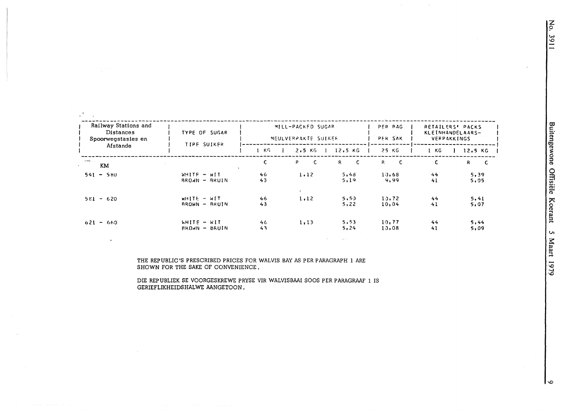$\bullet$ 

| Railway Stations and<br><b>Distances</b><br>Spoorwegstasies en | TYPE OF SUGAR                    |                    | MILL-PACKED SUGAR<br>MEULVERPAKTE SUIKER |                    | PER BAG<br>PER SAK | RETAILERS' PACKS<br>KLEINHANDELAARS-<br>VERPAKKINGS |              |
|----------------------------------------------------------------|----------------------------------|--------------------|------------------------------------------|--------------------|--------------------|-----------------------------------------------------|--------------|
| Afstande                                                       | TIPE SUIKER                      | $1$ K <sup>c</sup> | 2,5 K                                    | 12,5 KG            | 25 KG              | 1 KG                                                | $12.5$ KG    |
| <b>STRAND CO.</b><br>KM                                        |                                  | C.                 | P.<br>C.                                 | $\mathsf{C}$<br>R. | c<br>R.            | C.                                                  | R.<br>-C     |
| $541 - 580$                                                    | $WHITE - WIT$<br>$BROAN - BRUIN$ | 46<br>43           | 1.12                                     | 5,48<br>5.19       | 10.68<br>9.99      | 44<br>41                                            | 5,39<br>5,05 |
| $5E1 - 620$                                                    | $WHITE = WIT$<br>$BROWN = BRUIN$ | 46<br>43           | $\cdot$<br>1.12                          | 5,50<br>5,22       | 10.72<br>10,04     | 44<br>41                                            | 5,41<br>5,07 |
| $621 - 660$                                                    | WHITE - WIT<br>$BROAN - BRUIN$   | 46<br>43           | 1, 13                                    | 5, 53<br>5,24      | 10,77<br>10.08     | 44<br>41                                            | 5,44<br>5.09 |

THE REPUBLIC'S PRESCRIBED PRICES FOR WALVIS BAY AS PER PARAGRAPH 1 ARE SHOWN FOR THE SAKE OF CONVENIENCE.

DIE REPUBLIEK SE VOORGESKREWE PRYSE VIR WALVISBAAI SOOS PER PARAGRAAF 1 IS GERIEFLIKHEIDSHALWE AANGETOON.

 $\sim$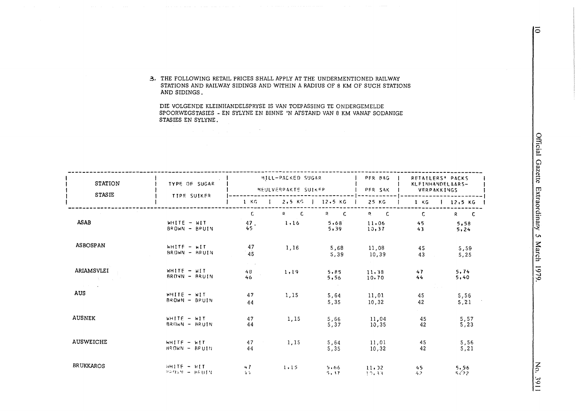3. THE FOLLOWING RETAIL PRICES SHALL APPLY AT THE UNDERMENTIONED RAILWAY STATIONS AND RAILWAY SIDINGS AND WITHIN A RADIUS OF 8 KM OF SUCH STATIONS AND SIDINGS.

DIE VOLGENDE KLEINHANDELSPRYSE IS VAN TOEPASSING TE ONDERGEMELDE SPOORWEGSTASIES - EN SYLYNE EN BINNE 'N AFSTAND VAN 8 KM VANAF SODANIGE STASIES EN SYLYNE.

 $\label{eq:2.1} \mathcal{A}=\mathcal{A}^{\dagger}\mathcal{A}^{\dagger}\mathcal{A}^{\dagger}\mathcal{A}^{\dagger}\mathcal{A}^{\dagger}\mathcal{A}^{\dagger}\mathcal{A}^{\dagger}\mathcal{A}^{\dagger}\mathcal{A}^{\dagger}\mathcal{A}^{\dagger}\mathcal{A}^{\dagger}\mathcal{A}^{\dagger}\mathcal{A}^{\dagger}\mathcal{A}^{\dagger}\mathcal{A}^{\dagger}\mathcal{A}^{\dagger}\mathcal{A}^{\dagger}\mathcal{A}^{\dagger}\mathcal{A}^{\dagger}\mathcal{A}^{\dagger}\mathcal{A$ 

| <b>STATION</b><br><b>STASIE</b> | <b>TYPE OF SUGAR</b><br>TIPE SUIKER |                                      | MILL-PACKED SUGAR<br>MEULVERPAKTE SUIKEP |                     | PFR BAG<br>PER SAK     | RETAILERS' PACKS<br>KLFINHANDELAARS-<br>VERPAKKINGS |                         |
|---------------------------------|-------------------------------------|--------------------------------------|------------------------------------------|---------------------|------------------------|-----------------------------------------------------|-------------------------|
|                                 |                                     | $1 - KG$                             | $2,5$ KG                                 | $12.5$ KG           | 25 KG                  | $1 \times G$                                        | $12,5$ KG               |
| <b>ASAB</b>                     | WHITE - WIT<br>BROWN - BRUIN        | C.<br>47.<br>45                      | $\overline{\mathbf{C}}$<br>R.<br>1,16    | R C<br>5,68<br>5,39 | R C<br>11,06<br>10, 37 | C.<br>45<br>43                                      | $R$ $C$<br>5,58<br>5,24 |
| <b>ASBOSPAN</b>                 | WHITE - WIT<br>BROWN - BRUIN        | 47<br>45                             | 1,16                                     | 5,68<br>5,39        | 11,08<br>10,39         | 45<br>43                                            | 5,59<br>5,25            |
| ARIAMSVLEI<br>and the con-      | WHITE $-$ WIT<br>BROWN - BRUIN      | $\sim 10^{-1}$ m $^{-1}$<br>48<br>46 | 1,19                                     | 5.85<br>5,56        | 11.38<br>10.70         | 47<br>44                                            | 5, 74<br>5,40           |
| <b>AUS</b>                      | WHITE - WIT<br>BROWN - BPUIN        | 47<br>44                             | 1,15                                     | 5,64<br>5,35        | 11,01<br>10,32         | 45<br>42                                            | 5,56<br>5, 21           |
| <b>AUSNEK</b>                   | $WHITE - WIT$<br>BROWN - BRUIN      | 47<br>44                             | 1,15                                     | 5,66<br>5.37        | 11,04<br>10,35         | 45<br>42                                            | 5,57<br>5,23            |
| <b>AUSWEICHE</b>                | WHITE - WIT<br>$BROWN - BPUIM$      | 47<br>44                             | 1,15                                     | 5,64<br>5, 35       | 11,01<br>10,32         | 45<br>42                                            | 5,56<br>5,21            |
| <b>BRUKKAROS</b>                | $WHITE = WIT$<br>$PPMW = HRUIV$     | 47<br>4.4                            | 1.15                                     | 5.66<br>5.37        | 11, 32<br>17.33        | 45<br>42                                            | $5,56$<br>$5/2$         |

Official Gazette Extraordinary 5 March 1979

 $\overline{5}$ 

No. 3911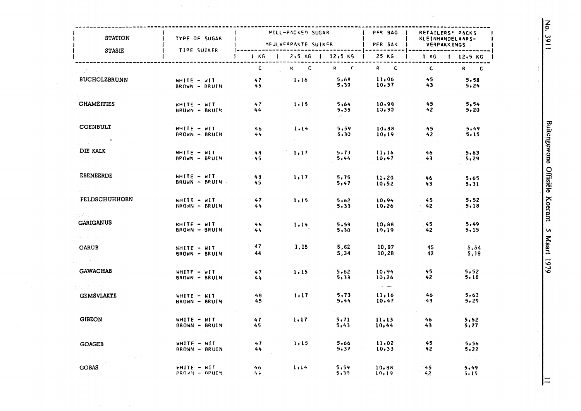| <b>STATION</b>                                                                  | TYPE OF SUGAR                               |              | ------------------------<br>MILL-PACKED SUGAR |                      | PER BAG                          | RETAILERS' PACKS<br>KLEINHANDELAARS-<br>MEULVERPAKTE SUIKER   PER SAK   VERPAKKINGS |               |  |
|---------------------------------------------------------------------------------|---------------------------------------------|--------------|-----------------------------------------------|----------------------|----------------------------------|-------------------------------------------------------------------------------------|---------------|--|
| <b>STASIE</b>                                                                   | <b>TIPE SUIKER</b>                          |              | $1 KG$   2.5 KG   12.5 KG   25 KG             |                      |                                  | $1$ 1 KG $1$ 12.5 KG                                                                |               |  |
|                                                                                 |                                             |              | $C$ R C                                       | $R = R$              | $R = C$                          | $\overline{c}$                                                                      | $R$ $C$       |  |
| <b>BUCHOLZBRUNN</b>                                                             | WHITE - WIT<br>BROWN - BRUIN 45             | $47 -$       | 1, 16                                         | 5,68<br>5,39         | 11,06<br>$11,00$<br>10,37        | - 45<br>$43 -$                                                                      | 5,58<br>5,24  |  |
| <b>CHAMEITIES</b>                                                               | $KHTE - KIT$<br>BROWN - BRUIN               | 47<br>44     | 1.15                                          | 5,64<br>5,35<br>D.C. | 10,98<br>10, 30                  | 45<br>$-42$                                                                         | 5.54<br>5,20  |  |
| <b>COENBULT</b><br>$\mathcal{L}_{\mathcal{L}}(\mathcal{C})$ , and $\mathcal{C}$ | <b>NHILE - MILL</b><br><b>BROWN - BRUIN</b> | 46<br>44     | 1, 14                                         | 5,59<br>5,30         | 10,88<br>10,19                   | 45<br>42                                                                            | 5,49<br>5, 15 |  |
| DIE KALK                                                                        | WHITE - WIT<br>$BPGM = BRUIN$               | 48<br>45     | 1, 17                                         | 5, 73<br>5,44        | 11.16<br>10,47                   | 46<br>43                                                                            | 5.63<br>5,29  |  |
| EBENEERDE                                                                       | $WHITE = wIT$<br>BRUWN - BRUIN              | 48<br>45     | 1.17                                          | 5,75<br>5,47         | 11.20<br>10,52                   | 46<br>43                                                                            | 5,65<br>5.31  |  |
| <b>FELDSCHUHHORN</b>                                                            | WHITE - WIT<br>BROWN - BRUIN                | 47<br>44     | 1,15                                          | 5,62<br>5,33         | 10,94<br>10,26                   | 45<br>$-42$                                                                         | 5,52<br>5.18  |  |
| t Zuren.<br><b>GARIGANUS</b>                                                    | $WHITE - HIT$<br>BROWN - BRUIN              | 46<br>44     | 1, 14                                         | 5,59<br>5.30         | 10,88<br>10,19                   | 45<br>42                                                                            | 5,49<br>5,15  |  |
| ekonto peg<br><b>GARUB</b>                                                      | <b>WHITE - WIT</b><br>BROWN - BRUIN         | 47<br>$-44$  | 1,15                                          | 5,62<br>5,34         | 10,97<br>10,28                   | 45<br>42                                                                            | 5,54<br>5,19  |  |
| <b>GAWACHAB</b>                                                                 | WHITE - WIT<br>BROWN - BRUIN                | 47<br>44     | 1,15                                          | 5,62<br>5,33         | 10,94<br>10,26                   | 45<br>42 <sub>z</sub>                                                               | 5,52<br>5.18  |  |
| 医精神性 医脑下<br><b>GEMSVLAKTE</b>                                                   | WHITE - WIT<br>BROWN - BRUIN                | 48<br>45     | 1, 17                                         | 5, 73<br>5,44        | المسدا البيدان<br>11,16<br>10.47 | 46<br>$-43$                                                                         | 5,63<br>5,29  |  |
| <b>GIBEON</b>                                                                   | WHITE - WIT<br>BROWN - BRUIN                | 47<br>45.    | 1, 17                                         | 5,71<br>5.43         | 11.13<br>10,44                   | 46<br>43                                                                            | 5,62<br>5,27  |  |
| <b>GOAGEB</b>                                                                   | WHITE - WIT<br><b>AROWN - BRUIN</b>         | 47<br>44     | 1,15                                          | 5,66<br>5,37         | 11.02<br>10,33                   | 45<br>42                                                                            | 5,56<br>5,22  |  |
| <b>GOBAS</b>                                                                    | $H\Pi T E = W\Pi T$<br>PROVN - BRUIN        | 46.<br>$4 +$ | 1.14                                          | 5,59<br>5,30         | 10, 88<br>10, 19                 | $42^{\circ}$                                                                        | 5,49<br>5.15  |  |

 $\mathcal{L}_{\mathcal{A}}$ 

Buitengewone Offisiële Koerant 5 Maart 1979

No. 3911

 $\vert =$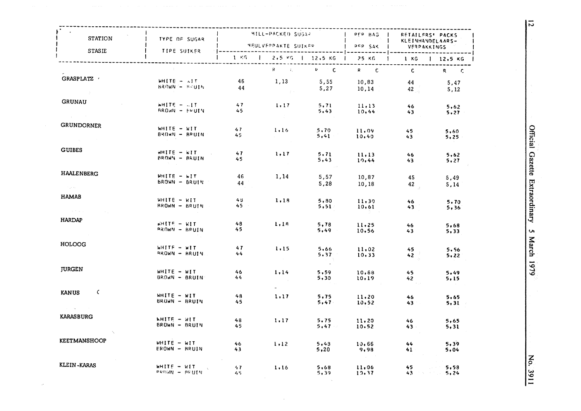| STATION<br><b>STASIE</b>                                    | TYPE OF SUGAR                         | MILL-PACKED SUGAR<br>MEULVEPPAKTE SUIKER   PEP SAK  <br>TIPE SUIKER<br>-------------- |                                     |                                       |                         | RETAILERS' PACKS<br><b>KLEINHANDELAARS-</b><br><b>VERPAKKINGS</b> |                                |  |
|-------------------------------------------------------------|---------------------------------------|---------------------------------------------------------------------------------------|-------------------------------------|---------------------------------------|-------------------------|-------------------------------------------------------------------|--------------------------------|--|
|                                                             |                                       |                                                                                       | 1 KG 1 2.5 KG 1 12.5 KG 1 25 KG     |                                       | ------------ ---------- |                                                                   | $1 \t1 \tKG \t12.5 KG$         |  |
|                                                             |                                       |                                                                                       | $R = -x_1 - x_2$                    | $R = 100$                             | $R$ $C$                 | $\overline{\mathbf{C}}$                                           | $R = C$                        |  |
| GRASPLATZ /                                                 | $WHITE - 11T$<br>BROWN - BRUIN        | 46<br>44                                                                              | 1,13<br><b>Control</b>              | 5,55<br>5,27                          | 10,83<br>10,14          | 44<br>42 <sup>2</sup>                                             | 5.47<br>5,12                   |  |
| <b>GRUNAU</b>                                               | $m$ HITE $-1$<br><b>BROWN - ERUIN</b> | 47<br>45                                                                              | 1,17<br>n Car                       | 5.71<br>5,43                          | 11,13<br>10,44          | 46 <sub>1</sub><br>43.                                            | 5.62<br>5,27                   |  |
| GRUNDORNER                                                  | WHITE - WIT<br>BROWN - BRUIN          | 47<br>45                                                                              | 1.16                                | 5,70<br>5,41                          | 11.09<br>10,40          | 45<br>43                                                          | 5,60<br>5.25                   |  |
| <b>GUIBES</b>                                               | $WHITE = WIT$<br><b>BROWN - BRUIN</b> | 47<br>45                                                                              | 1, 17                               | 5, 71<br>5,43                         | 11, 13<br>10,44         | 46 <sub>5</sub><br>43                                             | 5,62<br>5,27                   |  |
| <b>HAALENBERG</b><br>$\sim 200$ erg s $^{-1}$               | WHITE - WIT<br>$BRQWN - BRUIN$        | 46<br>44                                                                              | 1,14                                | 5,57<br>5,28                          | 10,87<br>10,18          | 45<br>42                                                          | 5,49<br>5,14                   |  |
| <b>HAMAB</b><br>$\mathcal{O}(\mathcal{A}^{\otimes 2})$ with | WHITE - WIT<br>$RROM = BRUIN$         | 48.<br>$45 -$                                                                         | 1,18                                | 5,80<br>5,51                          | 11.30<br>10,61          | 46<br>$43^{\circ}$                                                | 5.70<br>5,36                   |  |
| <b>HARDAP</b>                                               | $k$ HITE $-$ KIT<br>$PROWN - BRUIN$   | 48<br>45                                                                              | 1,18                                | 5, 78<br>5,49                         | 11.25<br>10,56          | 46<br>$43 -$                                                      | 5,68<br>5,33                   |  |
| <b>HOLOOG</b>                                               | WHITE - WIT<br><b>AROWN - ARUIN</b>   | 47<br>$44^{2}$                                                                        | 1.15<br>$\sim 10^{10}$ km s $^{-1}$ | 5,66<br>$5.37 -$                      | 11,02<br>10.33          | 45<br>42 <sub>2</sub>                                             | 5.56<br>5,22                   |  |
| <b>JURGEN</b>                                               | WHITE - WIT<br>BROWN - BRUIN          | 46<br>44                                                                              | 1.14                                | $\sim 100$ km $^{-1}$<br>5,59<br>5,30 | 10,68<br>10, 19         | 45<br>42 <sub>2</sub>                                             | 5.49<br>5,15                   |  |
| $\sim$ $\epsilon$<br><b>KANUS</b>                           | WHITE - WIT<br>BROWN - BRUIN          | 48<br>45                                                                              | 1.17                                | 5,75<br>5,47                          | 11.20<br>10,52          | 46<br>$43 -$                                                      | 5,65<br>5,31                   |  |
| <b>KARASBURG</b>                                            | <b>WHITE - WIT</b><br>BROWN - BRUIN   | 48<br>45                                                                              | 1.17                                | 5,75<br>$5,47$ $-$                    | 11, 20<br>10.52         | $46 -$<br>$43 -$                                                  | 5,65<br>5,31                   |  |
| <b>KEETMANSHOOP</b>                                         | WHITE - WIT<br>EROWN - BRUIN          | 46<br>43                                                                              | 1.12                                | 5,48<br>5,20                          | 10.66<br>9,98           | 44<br>$41 -$                                                      | 5.39<br>5,04                   |  |
| KLEIN-KARAS                                                 | WHITE - WIT<br>perimi - bellin        | 47<br>45                                                                              | 1.16                                | 5,68<br>5,39                          | 11,06<br>10.37          | 45                                                                | 5,58<br>$43$ and $100 - 5, 24$ |  |

Official Gazette Extraordinary 5 March 1979

No. 3911

 $\overline{5}$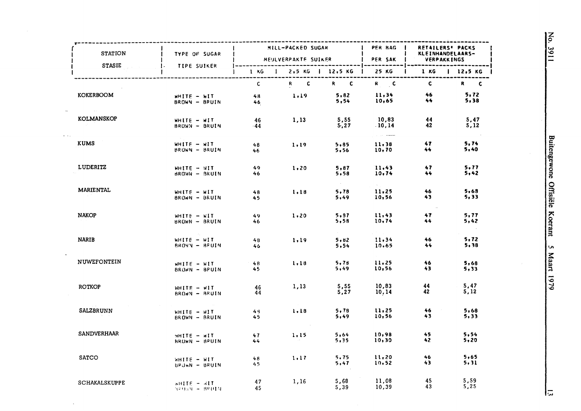| STATION              | <b>I TYPE OF SUGAR</b>             |              | <b>MILL-PACKED SUGAR</b> |               | PER BAG  <br>MEULVERPAKTE SUIKER   PER SAK   VERPAKKINGS               |                                         | RETAILERS' PACKS<br>KLEINHANDELAARS-             |
|----------------------|------------------------------------|--------------|--------------------------|---------------|------------------------------------------------------------------------|-----------------------------------------|--------------------------------------------------|
| <b>STASIE</b>        | <b>1. TIPE SUIKER</b>              |              |                          |               |                                                                        |                                         | 1 KG   2,5 KG   12,5 KG   25 KG   1 KG   12,5 KG |
|                      |                                    | $\mathsf{C}$ |                          | R C R C       | $R = C$                                                                | $\mathbf{c}$                            | $R$ $C$                                          |
| KOKERBOOM            | $WHITE - HIT$<br>BROWN - BRUIN     | $48 -$<br>46 | 1,19                     | 5,82<br>5,54  | $11,34$<br>$10,65$                                                     | - 46<br>$44 -$                          | 5,72<br>5,38                                     |
| KOLMANSKOP           | WHITE - WIT<br>BROWN - BRUIN       | 46<br>$-44$  | 1,13                     | 5,55<br>5,27  | 10,83<br>10,14<br>$\hat{z}_1 = \hat{z}_2 \hat{z}_3$ . The mass section | 44<br>42                                | 5,47<br>5,12                                     |
| <b>KUMS</b>          | WHITE - WIT<br>BROWN - BRUIN       | 48<br>46     | 1.19                     | 5,85<br>5,56  | 11,38<br>10,70                                                         | 47<br>44.                               | 5,74<br>5.40                                     |
| <b>LUDERITZ</b>      | WHITE - WIT<br>BROWN - BRUIN       | 49.<br>46    | 1,20                     | 5,87<br>5,58  | 11.43<br>10,74                                                         | 47<br>44                                | 5.77<br>5,42                                     |
| <b>MARIENTAL</b>     | WHITE - WIT<br>BROWN - BRUIN       | 48<br>45     | 1.18                     | 5,78<br>5,49  | 11,25<br>10,56                                                         | 46<br>43                                | 5,63<br>5,33                                     |
| <b>NAKOP</b>         | WHITE - WIT<br>BROWN - BRUIN       | 49.<br>46    | 1.20                     | 5, 97<br>5,58 | 11,43<br>10,74                                                         | 47<br>44                                | 5.77<br>5,42                                     |
| <b>NARIB</b>         | $WHITE - MIT$<br>BROWN - BEUIN     | 48<br>46     | 1,19                     | 5.82<br>5.54  | 11,34<br>10,65                                                         | 46<br>44                                | 5, 72<br>5,38                                    |
| <b>NUWEFONTEIN</b>   | WHITE - WIT<br>BRUWN - BPUIN       | 48<br>45.    | 1.18                     | 5,78<br>5,49  | 11,25<br>10,56                                                         | 46<br>43                                | 5,68<br>5,33                                     |
| ROTKOP               | $WHITE - WIT$<br>BROWN - BRUIN     | 46<br>44     | 1,13                     | 5,55<br>5,27  | 10,83<br>10, 14                                                        | 44<br>42                                | 5,47<br>5,12                                     |
| SALZBRUNN            | $WHITE - HIT$<br>BROWN - BRUIN     | 48.<br>45    | 1, 18                    | 5, 78<br>5,49 | 11,25<br>10,56                                                         | 46<br>$\sim 10^{10}$ km s $^{-1}$<br>43 | 5,68<br>5,33                                     |
| <b>SANDVERHAAR</b>   | $M = 3TIII$<br>BROWN - BRUIN       | 47<br>44     | 1.15                     | 5,64<br>5,35  | 10,98<br>10,30                                                         | 45<br>42                                | 5,54<br>5,20                                     |
| <b>SATCO</b>         | WHITE - WIT<br>BRUWN - BRUIN       | 48<br>45.    | 1.17                     | 5,75<br>5,47  | 11,20<br>10,52                                                         | 46<br>43                                | 5,65<br>5, 31                                    |
| <b>SCHAKALSKUPPE</b> | $v$ HITE $ dH$<br>$329.59 - 82013$ | 47<br>45     | 1,16                     | 5,68<br>5,39  | 11,08<br>10,39                                                         | 45<br>43                                | 5,59<br>5,25                                     |

に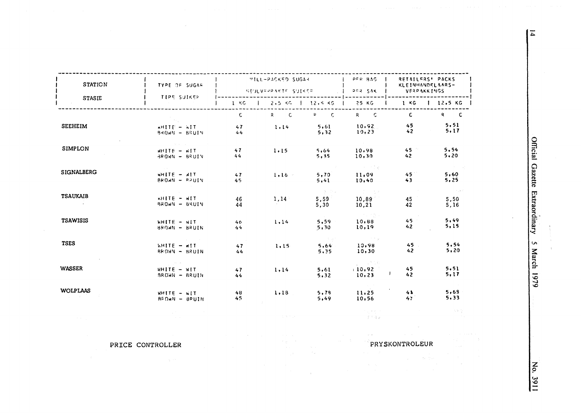| <b>STATION</b><br><b>STASIE</b> | TYPE OF SUGAR<br>TIPE SUIKER                    | MILL-PACKED SUGAR<br>NEVEVEPPARTE SUIKER |                                    |                                 | $P F R = 915$<br>DER SAK                                                      | RETAILERS' PACKS<br><b>KLEINHANDELAARS-</b><br><b>VERPAKKINGS</b> |                                   |
|---------------------------------|-------------------------------------------------|------------------------------------------|------------------------------------|---------------------------------|-------------------------------------------------------------------------------|-------------------------------------------------------------------|-----------------------------------|
|                                 |                                                 | $1 - KG$                                 | $1 2.5 \times 5$ $1 12.5 \times 5$ |                                 | 25 KG                                                                         | $1 \times G$                                                      | $12,5$ KG $\parallel$             |
|                                 |                                                 | $\mathsf{C}$                             | $R$ $C$                            | $P = C$                         | $R$ $C$                                                                       | $\mathbf{c}$                                                      | $R$ $C$                           |
| <b>SEEHEIM</b>                  | AHITE - WIT<br>BROWN - BRUIN                    | 47<br>44                                 | 1.14                               | 5.61<br>5,32                    | 10.92<br>10, 23                                                               | 45<br>42                                                          | 5.51<br>5, 17                     |
| <b>SIMPLON</b>                  | $N = 311Hw$<br>BROWN - BRUIN                    | 47<br>44                                 | 1.15                               | 5,64<br>5,35                    | 10.98<br>10, 30                                                               | $45 -$<br>42 <sub>2</sub>                                         | 5.54<br>5, 20                     |
| SIGNALBERG                      | $WHIF = AIT$<br>BROWN - RPUIN                   | 47<br>45                                 | $1.16 -$                           | 5,70<br>5,41                    | 一つ 一つ<br>11,09<br>10,40                                                       | 45 <sub>°</sub><br>43                                             | <b>Contractor</b><br>5,60<br>5,25 |
| <b>TSAUKAIB</b>                 | WHITE - WIT<br>BROWN - BRUIN                    | 46<br>44                                 | 1,14                               | <b>CONTRACT</b><br>5,59<br>5,30 | 计定位 医单<br>10,89<br>10, 21                                                     | 45<br>42                                                          | Summer Card<br>5.50<br>5,16       |
| <b>TSAWISIS</b>                 | $WHIF = WIT$<br>BROWN - BRUIN                   | 46<br>44                                 | 1.14                               | 5,59<br>5,30                    | 이 자기를<br>10,88<br>10,19                                                       | 45<br>42                                                          | 5,49<br>5,15                      |
| <b>TSES</b>                     | <b>ANITE - WIT</b><br>BROWN - BRUIN             | 47<br>44                                 | 1.15                               | 5,64<br>5,35                    | $\tau_{\rm eff}$ and $\tau_{\rm eff}$ and $\tau_{\rm eff}$<br>10.98<br>10, 30 | $45 -$<br>$42^{1}$                                                | 5,54<br>5, 20                     |
| <b>WASSER</b>                   | and the second<br>$WHTE - WTT$<br>BROWN - BRUIN | 47<br>44                                 | 1.14                               | 5,61<br>5.32                    | 10,92<br>10, 23                                                               | 45<br>42                                                          | 5, 51<br>5.17                     |
| <b>WOLPLAAS</b>                 | $WHTE - WTT$<br>BEOWN - BRUIN                   | 48<br>45                                 | 1.18                               | 5,78<br>5,49                    | 11.25<br>10,56                                                                | 41<br>43.                                                         | 5,69<br>5.33                      |
|                                 |                                                 |                                          | open by                            |                                 | of present<br>$-1 + 48$                                                       |                                                                   |                                   |

 $\sim$ 

PRICE CONTROLLER

Official Gazette Extraordinary S March 1979

No. 3911

PRYSKONTROLEUR

 $\mathcal{M} \subset \mathcal{M}$  .

 $\overline{4}$